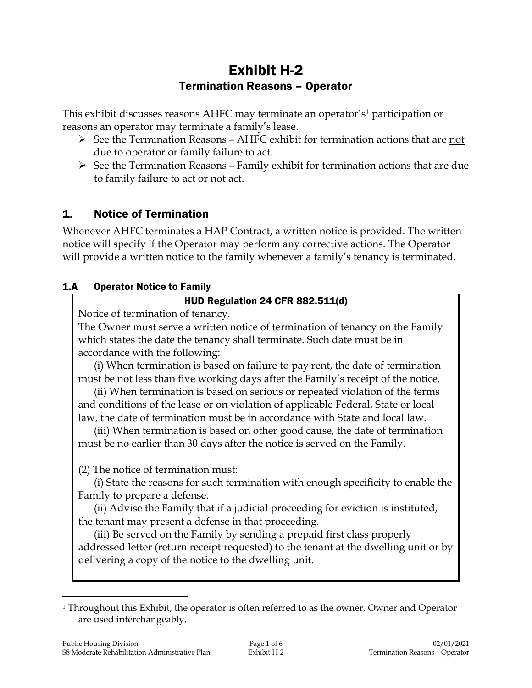# Exhibit H-2 Termination Reasons – Operator

This exhibit discusses reasons AHFC may terminate an operator's<sup>1</sup> participation or reasons an operator may terminate a family's lease.

- $\triangleright$  See the Termination Reasons AHFC exhibit for termination actions that are not due to operator or family failure to act.
- $\triangleright$  See the Termination Reasons Family exhibit for termination actions that are due to family failure to act or not act.

## 1. Notice of Termination

Whenever AHFC terminates a HAP Contract, a written notice is provided. The written notice will specify if the Operator may perform any corrective actions. The Operator will provide a written notice to the family whenever a family's tenancy is terminated.

## 1.A Operator Notice to Family

## HUD Regulation 24 CFR 882.511(d)

Notice of termination of tenancy.

The Owner must serve a written notice of termination of tenancy on the Family which states the date the tenancy shall terminate. Such date must be in accordance with the following:

(i) When termination is based on failure to pay rent, the date of termination must be not less than five working days after the Family's receipt of the notice.

(ii) When termination is based on serious or repeated violation of the terms and conditions of the lease or on violation of applicable Federal, State or local law, the date of termination must be in accordance with State and local law.

(iii) When termination is based on other good cause, the date of termination must be no earlier than 30 days after the notice is served on the Family.

(2) The notice of termination must:

(i) State the reasons for such termination with enough specificity to enable the Family to prepare a defense.

(ii) Advise the Family that if a judicial proceeding for eviction is instituted, the tenant may present a defense in that proceeding.

(iii) Be served on the Family by sending a prepaid first class properly addressed letter (return receipt requested) to the tenant at the dwelling unit or by delivering a copy of the notice to the dwelling unit.

 $\overline{a}$ 

<sup>&</sup>lt;sup>1</sup> Throughout this Exhibit, the operator is often referred to as the owner. Owner and Operator are used interchangeably.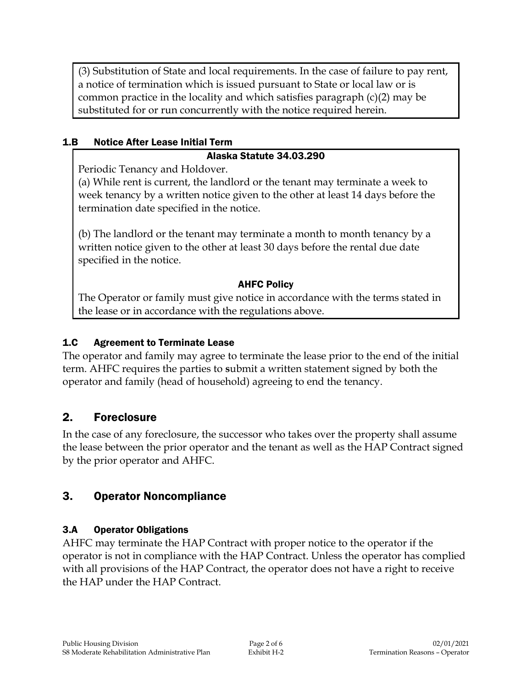(3) Substitution of State and local requirements. In the case of failure to pay rent, a notice of termination which is issued pursuant to State or local law or is common practice in the locality and which satisfies paragraph (c)(2) may be substituted for or run concurrently with the notice required herein.

#### 1.B Notice After Lease Initial Term

#### Alaska Statute 34.03.290

Periodic Tenancy and Holdover.

(a) While rent is current, the landlord or the tenant may terminate a week to week tenancy by a written notice given to the other at least 14 days before the termination date specified in the notice.

(b) The landlord or the tenant may terminate a month to month tenancy by a written notice given to the other at least 30 days before the rental due date specified in the notice.

#### AHFC Policy

The Operator or family must give notice in accordance with the terms stated in the lease or in accordance with the regulations above.

#### 1.C Agreement to Terminate Lease

The operator and family may agree to terminate the lease prior to the end of the initial term. AHFC requires the parties to **s**ubmit a written statement signed by both the operator and family (head of household) agreeing to end the tenancy.

#### 2. Foreclosure

In the case of any foreclosure, the successor who takes over the property shall assume the lease between the prior operator and the tenant as well as the HAP Contract signed by the prior operator and AHFC.

## 3. Operator Noncompliance

#### 3.A Operator Obligations

AHFC may terminate the HAP Contract with proper notice to the operator if the operator is not in compliance with the HAP Contract. Unless the operator has complied with all provisions of the HAP Contract, the operator does not have a right to receive the HAP under the HAP Contract.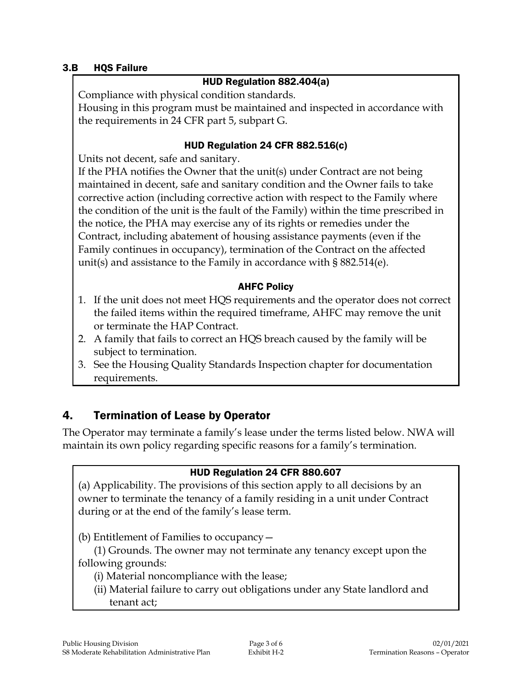#### 3.B HQS Failure

#### HUD Regulation 882.404(a)

Compliance with physical condition standards.

Housing in this program must be maintained and inspected in accordance with the requirements in 24 CFR part 5, subpart G.

## HUD Regulation 24 CFR 882.516(c)

Units not decent, safe and sanitary.

If the PHA notifies the Owner that the unit(s) under Contract are not being maintained in decent, safe and sanitary condition and the Owner fails to take corrective action (including corrective action with respect to the Family where the condition of the unit is the fault of the Family) within the time prescribed in the notice, the PHA may exercise any of its rights or remedies under the Contract, including abatement of housing assistance payments (even if the Family continues in occupancy), termination of the Contract on the affected unit(s) and assistance to the Family in accordance with § 882.514(e).

#### AHFC Policy

- 1. If the unit does not meet HQS requirements and the operator does not correct the failed items within the required timeframe, AHFC may remove the unit or terminate the HAP Contract.
- 2. A family that fails to correct an HQS breach caused by the family will be subject to termination.
- 3. See the Housing Quality Standards Inspection chapter for documentation requirements.

## 4. Termination of Lease by Operator

The Operator may terminate a family's lease under the terms listed below. NWA will maintain its own policy regarding specific reasons for a family's termination.

## HUD Regulation 24 CFR 880.607

(a) Applicability. The provisions of this section apply to all decisions by an owner to terminate the tenancy of a family residing in a unit under Contract during or at the end of the family's lease term.

(b) Entitlement of Families to occupancy—

(1) Grounds. The owner may not terminate any tenancy except upon the following grounds:

- (i) Material noncompliance with the lease;
- (ii) Material failure to carry out obligations under any State landlord and tenant act;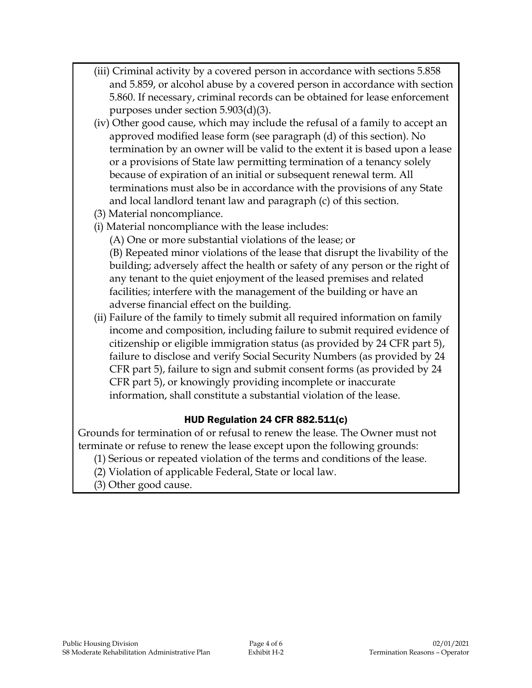- (iii) Criminal activity by a covered person in accordance with sections 5.858 and 5.859, or alcohol abuse by a covered person in accordance with section 5.860. If necessary, criminal records can be obtained for lease enforcement purposes under section 5.903(d)(3).
- (iv) Other good cause, which may include the refusal of a family to accept an approved modified lease form (see paragraph (d) of this section). No termination by an owner will be valid to the extent it is based upon a lease or a provisions of State law permitting termination of a tenancy solely because of expiration of an initial or subsequent renewal term. All terminations must also be in accordance with the provisions of any State and local landlord tenant law and paragraph (c) of this section.
- (3) Material noncompliance.
- (i) Material noncompliance with the lease includes:
	- (A) One or more substantial violations of the lease; or

(B) Repeated minor violations of the lease that disrupt the livability of the building; adversely affect the health or safety of any person or the right of any tenant to the quiet enjoyment of the leased premises and related facilities; interfere with the management of the building or have an adverse financial effect on the building.

(ii) Failure of the family to timely submit all required information on family income and composition, including failure to submit required evidence of citizenship or eligible immigration status (as provided by 24 CFR part 5), failure to disclose and verify Social Security Numbers (as provided by 24 CFR part 5), failure to sign and submit consent forms (as provided by 24 CFR part 5), or knowingly providing incomplete or inaccurate information, shall constitute a substantial violation of the lease.

## HUD Regulation 24 CFR 882.511(c)

Grounds for termination of or refusal to renew the lease. The Owner must not terminate or refuse to renew the lease except upon the following grounds:

- (1) Serious or repeated violation of the terms and conditions of the lease.
- (2) Violation of applicable Federal, State or local law.
- (3) Other good cause.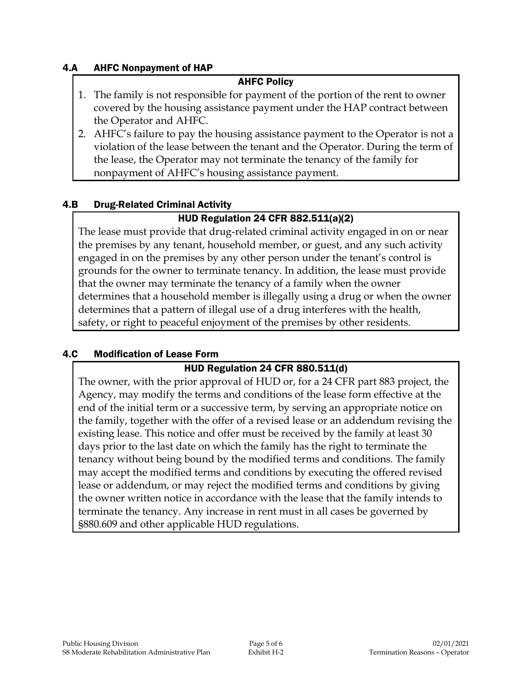#### 4.A AHFC Nonpayment of HAP

#### AHFC Policy

- 1. The family is not responsible for payment of the portion of the rent to owner covered by the housing assistance payment under the HAP contract between the Operator and AHFC.
- 2. AHFC's failure to pay the housing assistance payment to the Operator is not a violation of the lease between the tenant and the Operator. During the term of the lease, the Operator may not terminate the tenancy of the family for nonpayment of AHFC's housing assistance payment.

#### 4.B Drug-Related Criminal Activity

#### HUD Regulation 24 CFR 882.511(a)(2)

The lease must provide that drug-related criminal activity engaged in on or near the premises by any tenant, household member, or guest, and any such activity engaged in on the premises by any other person under the tenant's control is grounds for the owner to terminate tenancy. In addition, the lease must provide that the owner may terminate the tenancy of a family when the owner determines that a household member is illegally using a drug or when the owner determines that a pattern of illegal use of a drug interferes with the health, safety, or right to peaceful enjoyment of the premises by other residents.

#### 4.C Modification of Lease Form

#### HUD Regulation 24 CFR 880.511(d)

The owner, with the prior approval of HUD or, for a 24 CFR part 883 project, the Agency, may modify the terms and conditions of the lease form effective at the end of the initial term or a successive term, by serving an appropriate notice on the family, together with the offer of a revised lease or an addendum revising the existing lease. This notice and offer must be received by the family at least 30 days prior to the last date on which the family has the right to terminate the tenancy without being bound by the modified terms and conditions. The family may accept the modified terms and conditions by executing the offered revised lease or addendum, or may reject the modified terms and conditions by giving the owner written notice in accordance with the lease that the family intends to terminate the tenancy. Any increase in rent must in all cases be governed by §880.609 and other applicable HUD regulations.